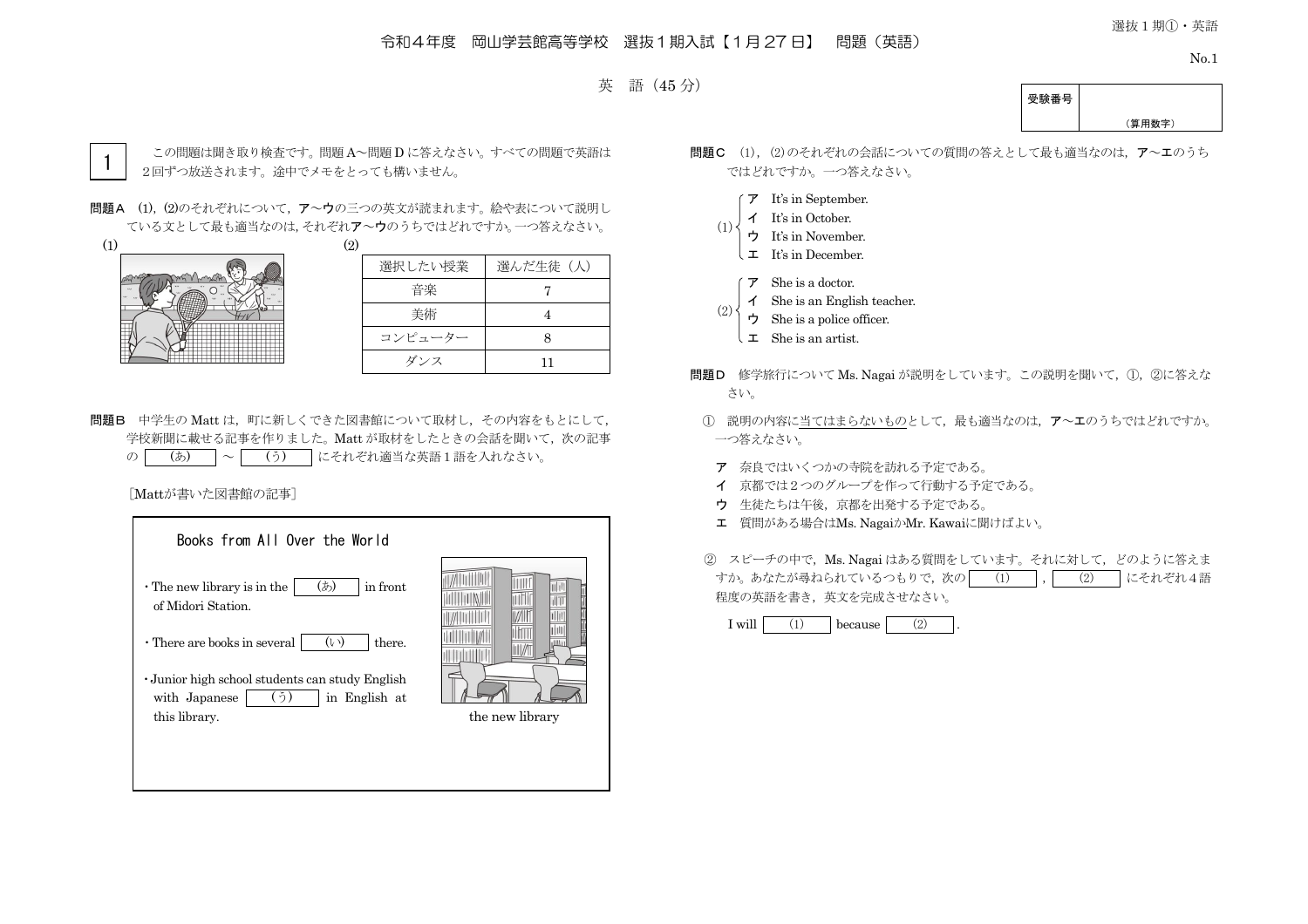## 令和4年度 岡山学芸館高等学校 選抜1期入試【1月 27 日】 問題(英語)

選抜1期①・英語

No.1



受験番号 (算用数字)



この問題は聞き取り検査です。問題 A~問題 D に答えなさい。すべての問題で英語は 2回ずつ放送されます。途中でメモをとっても構いません。

問題A (1), (2)のそれぞれについて, ア~ウの三つの英文が読まれます。絵や表について説明し ている文として最も適当なのは,それぞれア~ウのうちではどれですか。一つ答えなさい。

 $(1)$  (2)



| 選択したい授業 | 選んだ生徒(人) |
|---------|----------|
| 音楽      |          |
| 美術      |          |
| コンピューター |          |
| ダンス     | וו       |

問題B 中学生の Matt は、町に新しくできた図書館について取材し、その内容をもとにして、 学校新聞に載せる記事を作りました。Matt が取材をしたときの会話を聞いて、次の記事 の (あ) ~ (う) にそれぞれ適当な英語1語を入れなさい。

[Mattが書いた図書館の記事]

| Books from All Over the World                                                            |                 |
|------------------------------------------------------------------------------------------|-----------------|
| (あ)<br>in front<br>$\cdot$ The new library is in the<br>of Midori Station.               |                 |
| $(\vee)$<br>$\cdot$ There are books in several<br>there.                                 |                 |
| · Junior high school students can study English<br>(う)<br>in English at<br>with Japanese |                 |
| this library.                                                                            | the new library |
|                                                                                          |                 |
|                                                                                          |                 |

- 問題C (1), (2)のそれぞれの会話についての質問の答えとして最も適当なのは、ア~エのうち ではどれですか。一つ答えなさい。
	- ア It's in September.
	- イ It's in October.
	- ウ It's in November. (1)
		- $\downarrow$  **I** It's in December.
		- ア She is a doctor.
	- イ She is an English teacher. (2)
	- ウ She is a police officer.
	- エ She is an artist.
- 問題D 修学旅行について Ms. Nagai が説明をしています。この説明を聞いて、①, ②に答えな さい。
- ① 説明の内容に当てはまらないものとして,最も適当なのは,ア~エのうちではどれですか。 一つ答えなさい。
- ア 奈良ではいくつかの寺院を訪れる予定である。
- イ 京都では2つのグループを作って行動する予定である。
- ウ 生徒たちは午後,京都を出発する予定である。
- エ 質問がある場合はMs. NagaiかMr. Kawaiに聞けばよい。
- ② スピーチの中で,Ms. Nagai はある質問をしています。それに対して,どのように答えま すか。あなたが尋ねられているつもりで,次の│ (1) │,│ (2) │にそれぞれ4語 程度の英語を書き,英文を完成させなさい。

 $I will$  (1) because (2)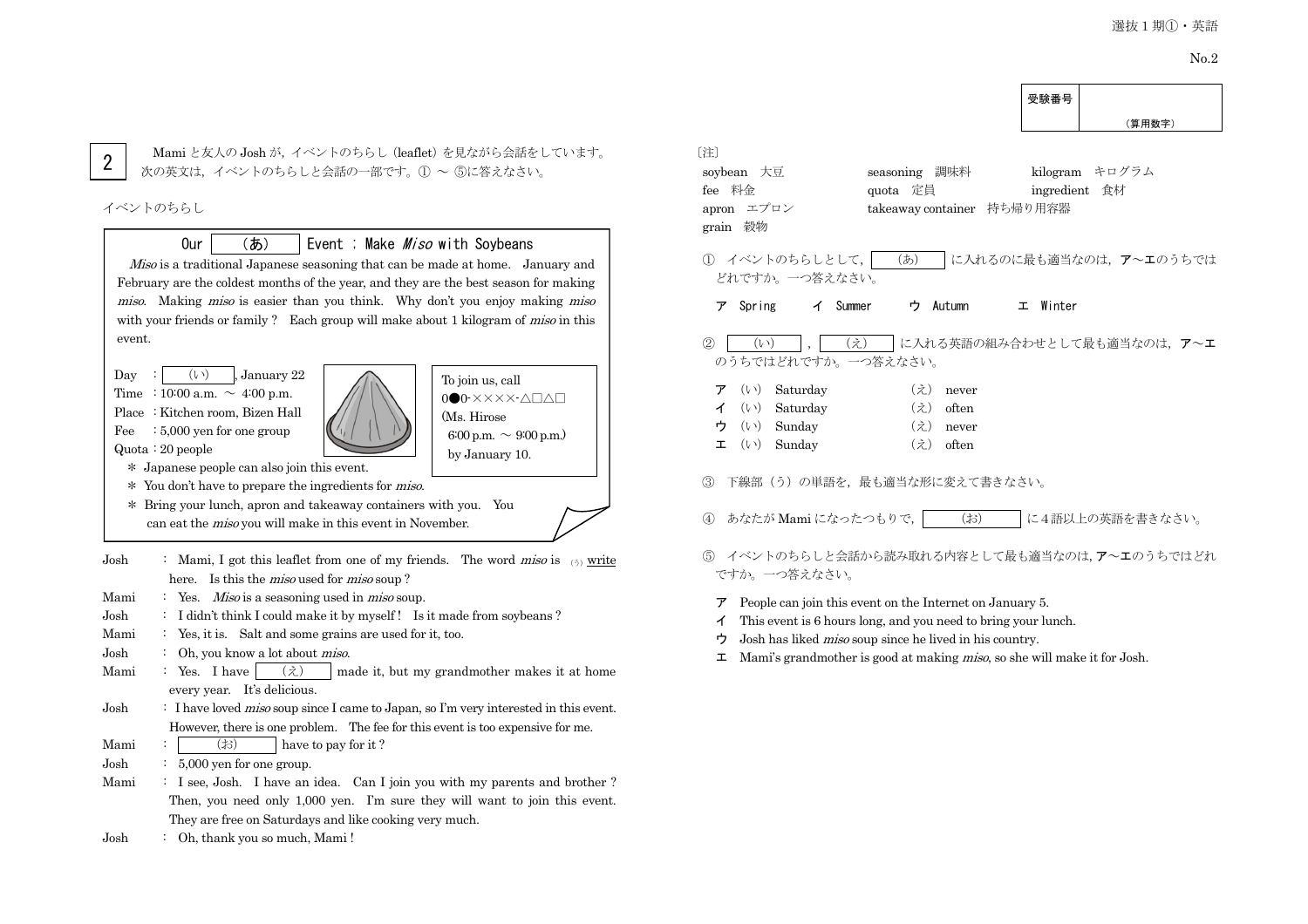受験番号

2

Mami と友人の Josh が,イベントのちらし(leaflet)を見ながら会話をしています。 次の英文は、イベントのちらしと会話の一部です。(1) ~ 6に答えなさい。

#### イベントのちらし

# Our  $(5)$  Event ; Make *Miso* with Soybeans

Miso is a traditional Japanese seasoning that can be made at home. January and February are the coldest months of the year, and they are the best season for making miso. Making miso is easier than you think. Why don't you enjoy making miso with your friends or family ? Each group will make about 1 kilogram of *miso* in this event.

Day :  $(v)$ , January 22 Time : 10:00 a.m.  $\sim$  4:00 p.m. Place : Kitchen room, Bizen Hall Fee  $: 5,000$  yen for one group Quota : 20 people



To join us, call 0●0-××××-△□△□ (Ms. Hirose 6:00 p.m.  $\sim$  9:00 p.m.) by January 10.

〔注〕

- \* Japanese people can also join this event.
- \* You don't have to prepare the ingredients for miso.
- \* Bring your lunch, apron and takeaway containers with you. You can eat the miso you will make in this event in November.
- Josh : Mami, I got this leaflet from one of my friends. The word *miso* is  $\frac{1}{(2)}$  write here. Is this the *miso* used for *miso* soup?
- Mami : Yes. *Miso* is a seasoning used in *miso* soup.
- Josh : I didn't think I could make it by myself ! Is it made from soybeans ?
- Mami : Yes, it is. Salt and some grains are used for it, too.
- Josh : Oh, you know a lot about miso.
- Mami : Yes. I have  $\langle \hat{\chi} \rangle$  made it, but my grandmother makes it at home every year. It's delicious.
- Josh : I have loved *miso* soup since I came to Japan, so I'm very interested in this event. However, there is one problem. The fee for this event is too expensive for me.
- Mami :  $\vert$  (お) have to pay for it ?
- Josh : 5,000 yen for one group.
- Mami : I see, Josh. I have an idea. Can I join you with my parents and brother? Then, you need only 1,000 yen. I'm sure they will want to join this event. They are free on Saturdays and like cooking very much.
- Josh : Oh, thank you so much, Mami !

|                                                                                                                                                                                                                                                                                                     | メ州 田 つ                          |
|-----------------------------------------------------------------------------------------------------------------------------------------------------------------------------------------------------------------------------------------------------------------------------------------------------|---------------------------------|
|                                                                                                                                                                                                                                                                                                     | (算用数字)                          |
| 注〕<br>soybean 大豆<br>調味料<br>seasoning<br>fee 料金<br>quota 定員<br>エプロン<br>takeaway container 持ち帰り用容器<br>apron<br>grain 穀物                                                                                                                                                                               | kilogram キログラム<br>ingredient 食材 |
| (5)<br>① イベントのちらしとして, <br>どれですか。一つ答えなさい。                                                                                                                                                                                                                                                            | に入れるのに最も適当なのは、ア~エのうちでは          |
| Spring<br>イ Summer<br>ウ Autumn<br>ァ                                                                                                                                                                                                                                                                 | エ Winter                        |
| $\circled{2}$<br>(え)<br>$(\vee)$<br>のうちではどれですか。一つ答えなさい。                                                                                                                                                                                                                                             | に入れる英語の組み合わせとして最も適当なのは、 ア~エ     |
| $(\vee)$<br>Saturday<br>$(\dot{z})$<br>ァ<br>never<br>$(\vee)$<br>Saturday<br>$(\dot{z})$<br>often<br>イ<br>Sunday<br>$(\vee)$<br>(え)<br>ゥ<br>never<br>$(\vee)$<br>Sunday<br>(え)<br>often<br>工                                                                                                        |                                 |
| 下線部(う)の単語を、最も適当な形に変えて書きなさい。<br>$\circledS$                                                                                                                                                                                                                                                          |                                 |
| $(\ddagger$ s)<br>あなたが Mami になったつもりで, <br>$\circled{4}$                                                                                                                                                                                                                                             | に4語以上の英語を書きなさい。                 |
| ⑤ イベントのちらしと会話から読み取れる内容として最も適当なのは、ア~エのうちではどれ<br>ですか。一つ答えなさい。                                                                                                                                                                                                                                         |                                 |
| People can join this event on the Internet on January 5.<br>ア<br>This event is 6 hours long, and you need to bring your lunch.<br>イ<br>Josh has liked <i>miso</i> soup since he lived in his country.<br>ゥ<br>Mami's grandmother is good at making <i>miso</i> , so she will make it for Josh.<br>ᅩ |                                 |
|                                                                                                                                                                                                                                                                                                     |                                 |
|                                                                                                                                                                                                                                                                                                     |                                 |
|                                                                                                                                                                                                                                                                                                     |                                 |
|                                                                                                                                                                                                                                                                                                     |                                 |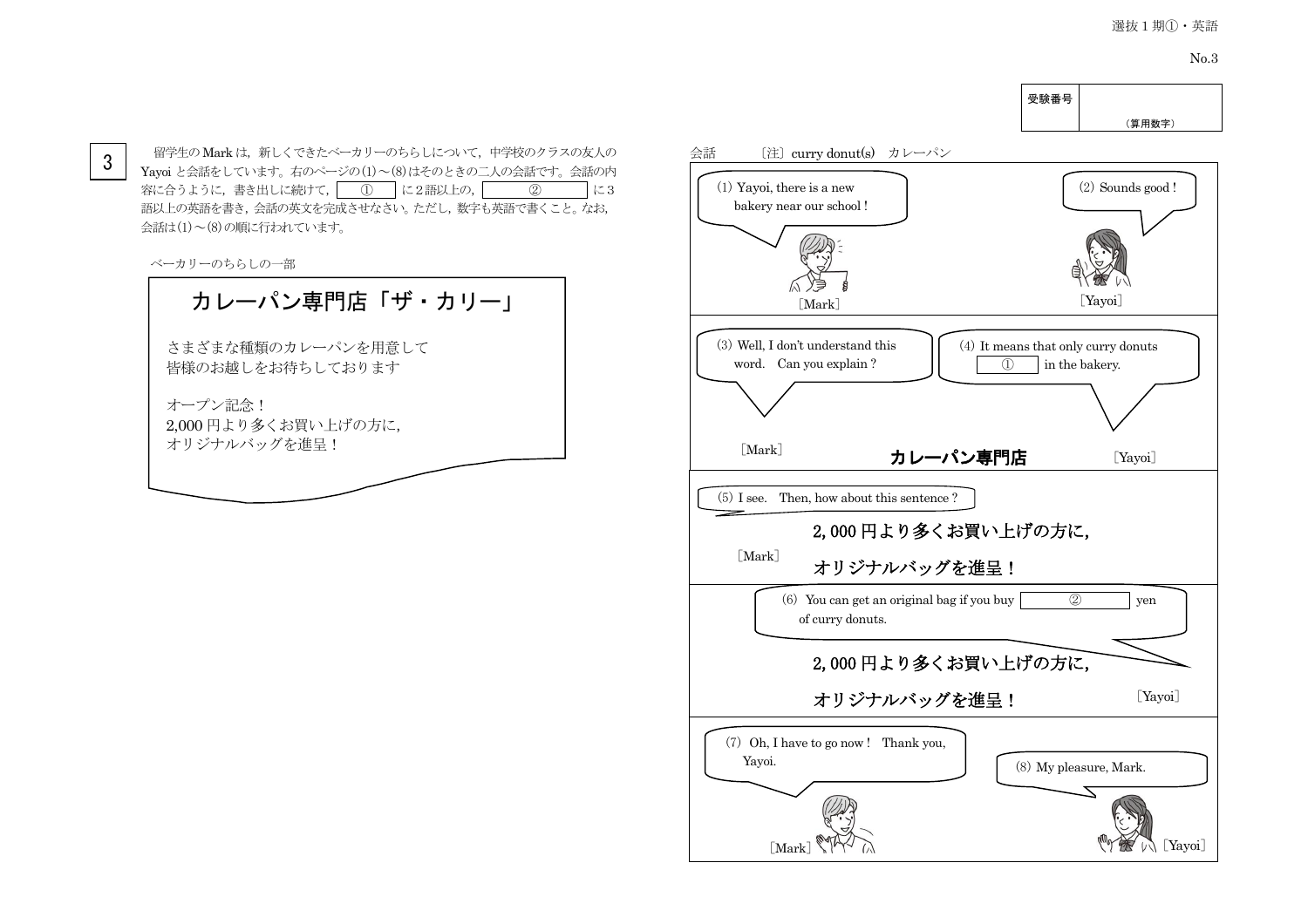No.3



 $3$  │ 留学生の Mark は, 新しくできたベーカリーのちらしについて, 中学校のクラスの友人の 会話 〔注〕curry donut(s) カレーパン<br>3 │ Yavoi と今話をしています、右のページの(1)〜(8)けそのときのこ人の今話です。今話の内 Yayoi と会話をしています。右のページの(1)~(8)はそのときの二人の会話です。会話の内 容に合うように,書き出しに続けて, ① に2語以上の, ② に3 語以上の英語を書き,会話の英文を完成させなさい。ただし,数字も英語で書くこと。なお, 会話は(1)~(8)の順に行われています。

ベーカリーのちらしの一部

# カレーパン専門店「ザ・カリー」

さまざまな種類のカレーパンを用意して 皆様のお越しをお待ちしております

オープン記念! 2,000 円より多くお買い上げの方に, オリジナルバッグを進呈!

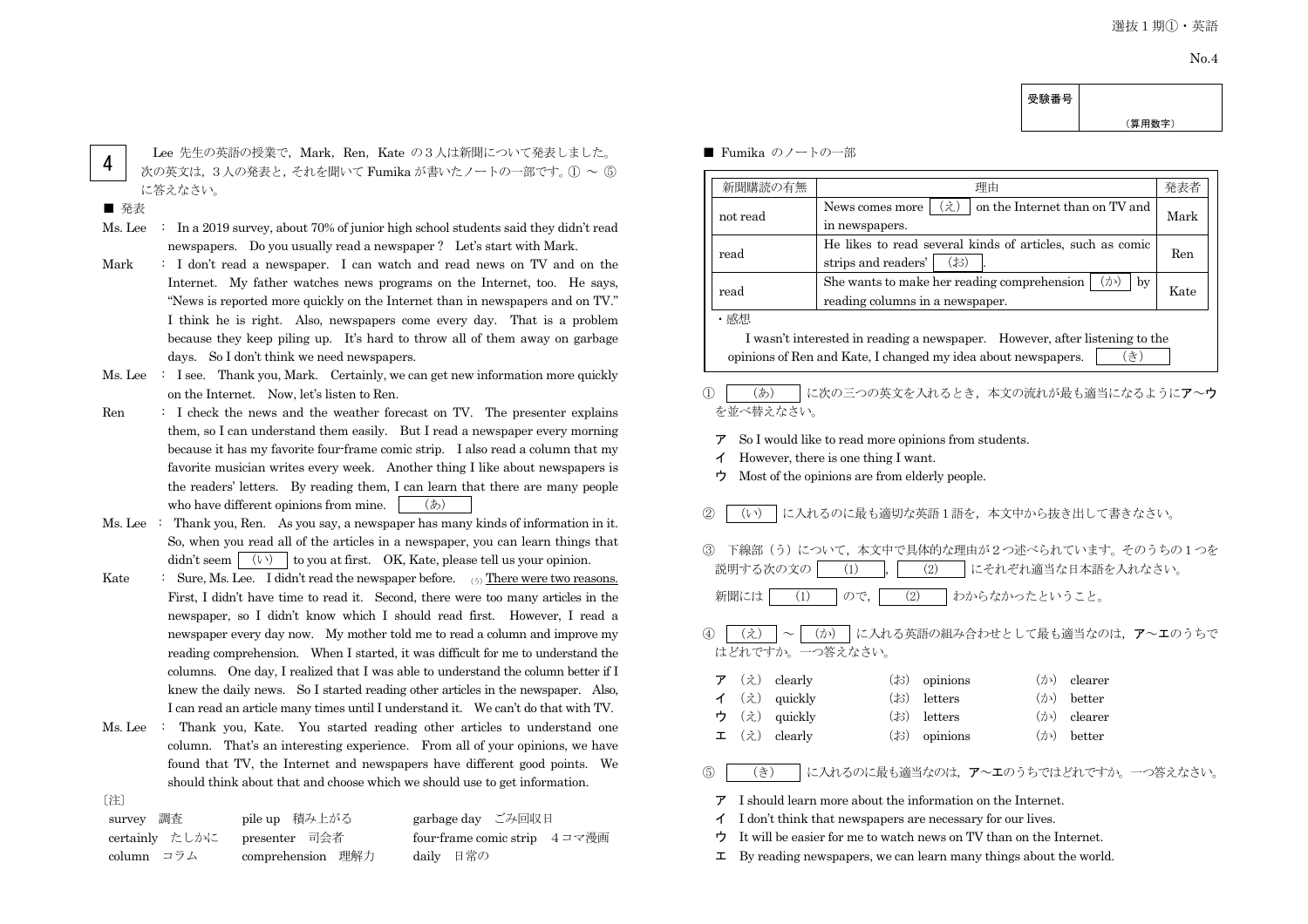(算用数字)

4

Lee 先生の英語の授業で, Mark, Ren, Kate の3人は新聞について発表しました。 次の英文は,3人の発表と,それを聞いて Fumika が書いたノートの一部です。① ~ ⑤ に答えなさい。

#### ■ 発表

- Ms. Lee : In a 2019 survey, about 70% of junior high school students said they didn't read newspapers. Do you usually read a newspaper ? Let's start with Mark.
- Mark : I don't read a newspaper. I can watch and read news on TV and on the Internet. My father watches news programs on the Internet, too. He says, "News is reported more quickly on the Internet than in newspapers and on TV." I think he is right. Also, newspapers come every day. That is a problem because they keep piling up. It's hard to throw all of them away on garbage days. So I don't think we need newspapers.
- Ms. Lee : I see. Thank you, Mark. Certainly, we can get new information more quickly on the Internet. Now, let's listen to Ren.
- Ren : I check the news and the weather forecast on TV. The presenter explains them, so I can understand them easily. But I read a newspaper every morning because it has my favorite four-frame comic strip. I also read a column that my favorite musician writes every week. Another thing I like about newspapers is the readers' letters. By reading them, I can learn that there are many people who have different opinions from mine.  $(5)$
- Ms. Lee : Thank you, Ren. As you say, a newspaper has many kinds of information in it. So, when you read all of the articles in a newspaper, you can learn things that didn't seem  $(1)$  to you at first. OK, Kate, please tell us your opinion.
- Kate : Sure, Ms. Lee. I didn't read the newspaper before.  $\qquad_{\odot})$  There were two reasons. First, I didn't have time to read it. Second, there were too many articles in the newspaper, so I didn't know which I should read first. However, I read a newspaper every day now. My mother told me to read a column and improve my reading comprehension. When I started, it was difficult for me to understand the columns. One day, I realized that I was able to understand the column better if I knew the daily news. So I started reading other articles in the newspaper. Also, I can read an article many times until I understand it. We can't do that with TV.
- Ms. Lee : Thank you, Kate. You started reading other articles to understand one column. That's an interesting experience. From all of your opinions, we have found that TV, the Internet and newspapers have different good points. We should think about that and choose which we should use to get information.
- 〔注〕

| survey 調査                    | pile up 積み上がる     | garbage day ごみ回収日            |
|------------------------------|-------------------|------------------------------|
| certainly たしかに presenter 司会者 |                   | four-frame comic strip 4コマ漫画 |
| column コラム                   | comprehension 理解力 | dailv 日常の                    |

#### ■ Fumika のノートの一部

| 新聞購読の有無                                                                                              | 理由<br>発表者                                                                               |            |  |
|------------------------------------------------------------------------------------------------------|-----------------------------------------------------------------------------------------|------------|--|
| not read                                                                                             | え<br>on the Internet than on TV and<br>News comes more<br>in newspapers.                | Mark       |  |
| read                                                                                                 | He likes to read several kinds of articles, such as comic<br>(お)<br>strips and readers' | <b>Ren</b> |  |
| She wants to make her reading comprehension<br>(カ>)<br>bv<br>read<br>reading columns in a newspaper. |                                                                                         | Kate       |  |
| ・感想<br>I wasn't interested in reading a newspaper. However, after listening to the                   |                                                                                         |            |  |
| き<br>opinions of Ren and Kate, I changed my idea about newspapers.                                   |                                                                                         |            |  |

受験番号

#### ① │ (あ) │に次の三つの英文を入れるとき、本文の流れが最も適当になるようにア~ウ を並べ替えなさい。

- ア So I would like to read more opinions from students.
- イ However, there is one thing I want.
- ウ Most of the opinions are from elderly people.

#### ② ┃ (い) ┃に入れるのに最も適切な英語1語を,本文中から抜き出して書きなさい。

③ 下線部(う)について,本文中で具体的な理由が2つ述べられています。そのうちの1つを 說明する次の文の│ (1) │ (2) │にそれぞれ適当な日本語を入れなさい。

新聞には | (1) | ので, | (2) | わからなかったということ。

## ④ | (え) | ~ | (か) | に入れる英語の組み合わせとして最も適当なのは、ア~エのうちで はどれですか。一つ答えなさい。

|  | $\mathcal{F}$ ( $\lambda$ ) clearly     | $(\ddot{\phi})$ opinions | $(\lambda)$ clearer |
|--|-----------------------------------------|--------------------------|---------------------|
|  | $\checkmark$ ( $\lambda$ ) quickly      | $(\uparrow)$ letters     | $(\lambda)$ better  |
|  | ウ (え) quickly                           | $(\uparrow)$ letters     | ( $\phi$ ) clearer  |
|  | $\mathbf{\Sigma}$ ( $\lambda$ ) clearly | $(\ddot{\phi})$ opinions | $(\lambda)$ better  |

⑤ (き) に入れるのに最も適当なのは,ア~エのうちではどれですか。一つ答えなさい。

- ア I should learn more about the information on the Internet.
- イ I don't think that newspapers are necessary for our lives.
- ウ It will be easier for me to watch news on TV than on the Internet.
- $\mathbf{\Sigma}$  By reading newspapers, we can learn many things about the world.